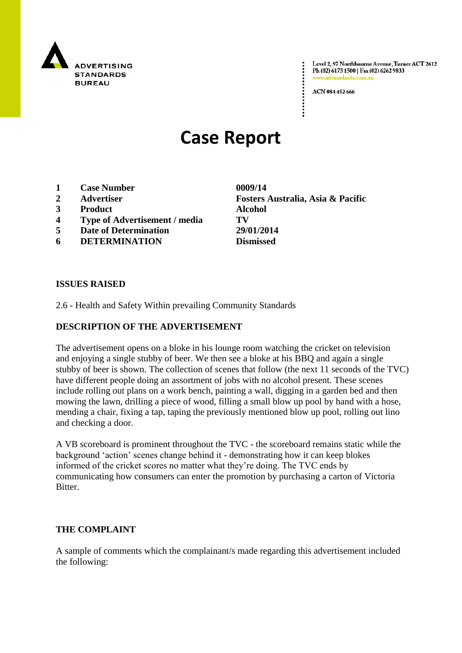

Level 2, 97 Northbourne Avenue, Turner ACT 2612 Ph (02) 6173 1500 | Fax (02) 6262 9833 www.adstandards.co

ACN 084 452 666

# **Case Report**

- **1 Case Number 0009/14**
- 
- **3 Product Alcohol**
- **4 Type of Advertisement / media TV**
- **5 Date of Determination 29/01/2014**
- **6 DETERMINATION Dismissed**

**2 Advertiser Fosters Australia, Asia & Pacific**

#### **ISSUES RAISED**

2.6 - Health and Safety Within prevailing Community Standards

### **DESCRIPTION OF THE ADVERTISEMENT**

The advertisement opens on a bloke in his lounge room watching the cricket on television and enjoying a single stubby of beer. We then see a bloke at his BBQ and again a single stubby of beer is shown. The collection of scenes that follow (the next 11 seconds of the TVC) have different people doing an assortment of jobs with no alcohol present. These scenes include rolling out plans on a work bench, painting a wall, digging in a garden bed and then mowing the lawn, drilling a piece of wood, filling a small blow up pool by hand with a hose, mending a chair, fixing a tap, taping the previously mentioned blow up pool, rolling out lino and checking a door.

A VB scoreboard is prominent throughout the TVC - the scoreboard remains static while the background "action" scenes change behind it - demonstrating how it can keep blokes informed of the cricket scores no matter what they"re doing. The TVC ends by communicating how consumers can enter the promotion by purchasing a carton of Victoria Bitter.

#### **THE COMPLAINT**

A sample of comments which the complainant/s made regarding this advertisement included the following: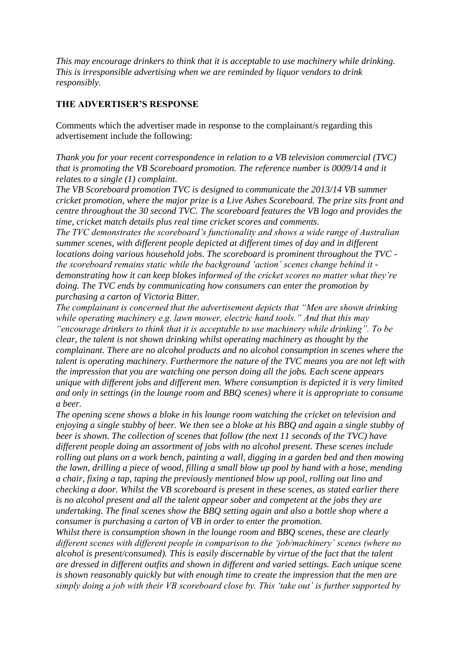*This may encourage drinkers to think that it is acceptable to use machinery while drinking. This is irresponsible advertising when we are reminded by liquor vendors to drink responsibly.* 

## **THE ADVERTISER'S RESPONSE**

Comments which the advertiser made in response to the complainant/s regarding this advertisement include the following:

*Thank you for your recent correspondence in relation to a VB television commercial (TVC) that is promoting the VB Scoreboard promotion. The reference number is 0009/14 and it relates to a single (1) complaint.*

*The VB Scoreboard promotion TVC is designed to communicate the 2013/14 VB summer cricket promotion, where the major prize is a Live Ashes Scoreboard. The prize sits front and centre throughout the 30 second TVC. The scoreboard features the VB logo and provides the time, cricket match details plus real time cricket scores and comments.*

*The TVC demonstrates the scoreboard"s functionality and shows a wide range of Australian summer scenes, with different people depicted at different times of day and in different locations doing various household jobs. The scoreboard is prominent throughout the TVC the scoreboard remains static while the background "action" scenes change behind it demonstrating how it can keep blokes informed of the cricket scores no matter what they"re doing. The TVC ends by communicating how consumers can enter the promotion by purchasing a carton of Victoria Bitter.*

*The complainant is concerned that the advertisement depicts that "Men are shown drinking while operating machinery e.g. lawn mower, electric hand tools." And that this may "encourage drinkers to think that it is acceptable to use machinery while drinking". To be clear, the talent is not shown drinking whilst operating machinery as thought by the complainant. There are no alcohol products and no alcohol consumption in scenes where the talent is operating machinery. Furthermore the nature of the TVC means you are not left with the impression that you are watching one person doing all the jobs. Each scene appears unique with different jobs and different men. Where consumption is depicted it is very limited and only in settings (in the lounge room and BBQ scenes) where it is appropriate to consume a beer.*

*The opening scene shows a bloke in his lounge room watching the cricket on television and enjoying a single stubby of beer. We then see a bloke at his BBQ and again a single stubby of beer is shown. The collection of scenes that follow (the next 11 seconds of the TVC) have different people doing an assortment of jobs with no alcohol present. These scenes include rolling out plans on a work bench, painting a wall, digging in a garden bed and then mowing the lawn, drilling a piece of wood, filling a small blow up pool by hand with a hose, mending a chair, fixing a tap, taping the previously mentioned blow up pool, rolling out lino and checking a door. Whilst the VB scoreboard is present in these scenes, as stated earlier there is no alcohol present and all the talent appear sober and competent at the jobs they are undertaking. The final scenes show the BBQ setting again and also a bottle shop where a consumer is purchasing a carton of VB in order to enter the promotion.*

*Whilst there is consumption shown in the lounge room and BBQ scenes, these are clearly different scenes with different people in comparison to the "job/machinery" scenes (where no alcohol is present/consumed). This is easily discernable by virtue of the fact that the talent are dressed in different outfits and shown in different and varied settings. Each unique scene is shown reasonably quickly but with enough time to create the impression that the men are simply doing a job with their VB scoreboard close by. This "take out" is further supported by*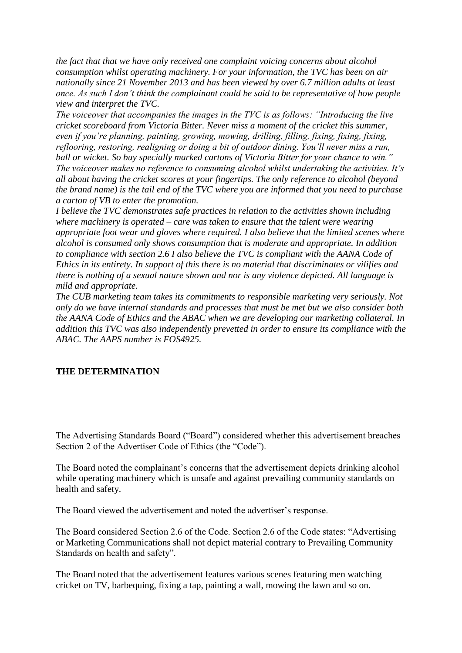*the fact that that we have only received one complaint voicing concerns about alcohol consumption whilst operating machinery. For your information, the TVC has been on air nationally since 21 November 2013 and has been viewed by over 6.7 million adults at least once. As such I don"t think the complainant could be said to be representative of how people view and interpret the TVC.*

*The voiceover that accompanies the images in the TVC is as follows: "Introducing the live cricket scoreboard from Victoria Bitter. Never miss a moment of the cricket this summer, even if you"re planning, painting, growing, mowing, drilling, filling, fixing, fixing, fixing, reflooring, restoring, realigning or doing a bit of outdoor dining. You"ll never miss a run, ball or wicket. So buy specially marked cartons of Victoria Bitter for your chance to win." The voiceover makes no reference to consuming alcohol whilst undertaking the activities. It"s all about having the cricket scores at your fingertips. The only reference to alcohol (beyond the brand name) is the tail end of the TVC where you are informed that you need to purchase a carton of VB to enter the promotion.*

*I believe the TVC demonstrates safe practices in relation to the activities shown including where machinery is operated – care was taken to ensure that the talent were wearing appropriate foot wear and gloves where required. I also believe that the limited scenes where alcohol is consumed only shows consumption that is moderate and appropriate. In addition to compliance with section 2.6 I also believe the TVC is compliant with the AANA Code of Ethics in its entirety. In support of this there is no material that discriminates or vilifies and there is nothing of a sexual nature shown and nor is any violence depicted. All language is mild and appropriate.*

*The CUB marketing team takes its commitments to responsible marketing very seriously. Not only do we have internal standards and processes that must be met but we also consider both the AANA Code of Ethics and the ABAC when we are developing our marketing collateral. In addition this TVC was also independently prevetted in order to ensure its compliance with the ABAC. The AAPS number is FOS4925.*

#### **THE DETERMINATION**

The Advertising Standards Board ("Board") considered whether this advertisement breaches Section 2 of the Advertiser Code of Ethics (the "Code").

The Board noted the complainant"s concerns that the advertisement depicts drinking alcohol while operating machinery which is unsafe and against prevailing community standards on health and safety.

The Board viewed the advertisement and noted the advertiser"s response.

The Board considered Section 2.6 of the Code. Section 2.6 of the Code states: "Advertising or Marketing Communications shall not depict material contrary to Prevailing Community Standards on health and safety".

The Board noted that the advertisement features various scenes featuring men watching cricket on TV, barbequing, fixing a tap, painting a wall, mowing the lawn and so on.